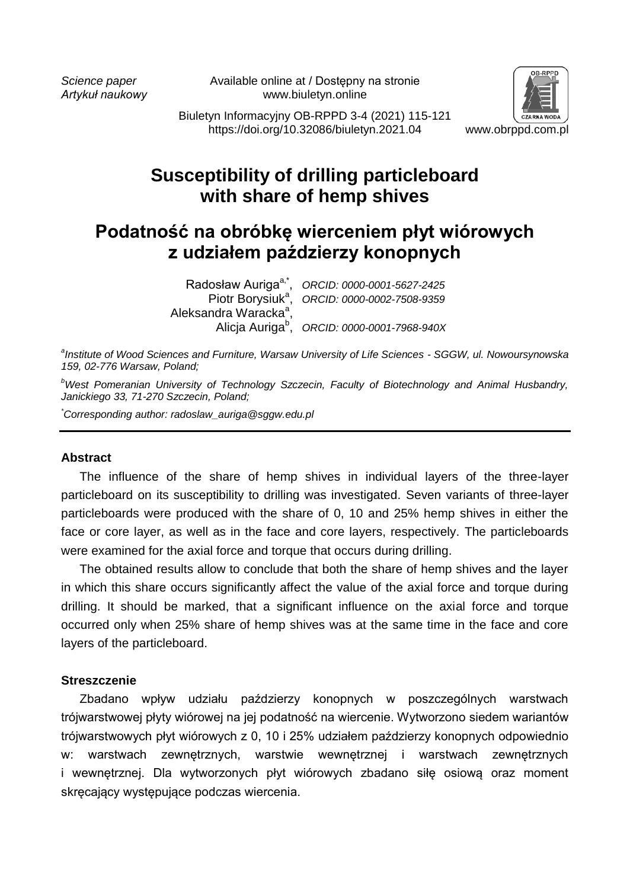*Science paper* Available online at / Dostępny na stronie *Artykuł naukowy* www.biuletyn.online



Biuletyn Informacyjny OB-RPPD 3-4 (2021) 115-121 https://doi.org/10.32086/biuletyn.2021.04 www.obrppd.com.pl

# **Susceptibility of drilling particleboard with share of hemp shives**

# **Podatność na obróbkę wierceniem płyt wiórowych z udziałem paździerzy konopnych**

Radosław Auriga<sup>a,\*</sup>. Piotr Borysiuk<sup>a</sup>. Aleksandra Waracka<sup>a</sup>,

, *ORCID: 0000-0001-5627-2425* , *ORCID: 0000-0002-7508-9359*

Alicja Auriga<sup>b</sup> , *ORCID: 0000-0001-7968-940X*

*a Institute of Wood Sciences and Furniture, Warsaw University of Life Sciences - SGGW, ul. Nowoursynowska 159, 02-776 Warsaw, Poland;*

*<sup>b</sup>West Pomeranian University of Technology Szczecin, Faculty of Biotechnology and Animal Husbandry, Janickiego 33, 71-270 Szczecin, Poland;*

*\*Corresponding author: radoslaw\_auriga@sggw.edu.pl*

#### **Abstract**

The influence of the share of hemp shives in individual layers of the three-layer particleboard on its susceptibility to drilling was investigated. Seven variants of three-layer particleboards were produced with the share of 0, 10 and 25% hemp shives in either the face or core layer, as well as in the face and core layers, respectively. The particleboards were examined for the axial force and torque that occurs during drilling.

The obtained results allow to conclude that both the share of hemp shives and the layer in which this share occurs significantly affect the value of the axial force and torque during drilling. It should be marked, that a significant influence on the axial force and torque occurred only when 25% share of hemp shives was at the same time in the face and core layers of the particleboard.

## **Streszczenie**

Zbadano wpływ udziału paździerzy konopnych w poszczególnych warstwach trójwarstwowej płyty wiórowej na jej podatność na wiercenie. Wytworzono siedem wariantów trójwarstwowych płyt wiórowych z 0, 10 i 25% udziałem paździerzy konopnych odpowiednio w: warstwach zewnętrznych, warstwie wewnętrznej i warstwach zewnętrznych i wewnętrznej. Dla wytworzonych płyt wiórowych zbadano siłę osiową oraz moment skręcający występujące podczas wiercenia.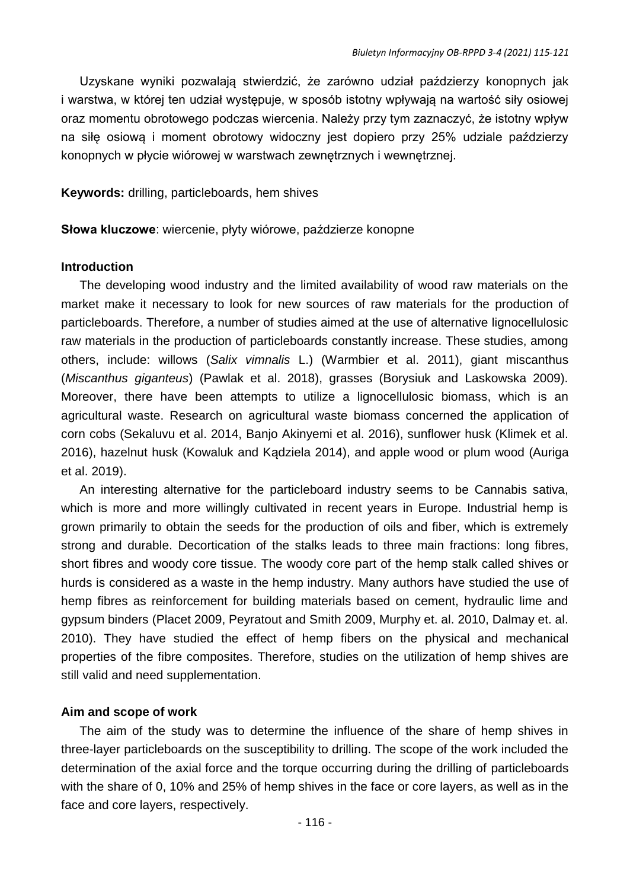Uzyskane wyniki pozwalają stwierdzić, że zarówno udział paździerzy konopnych jak i warstwa, w której ten udział występuje, w sposób istotny wpływają na wartość siły osiowej oraz momentu obrotowego podczas wiercenia. Należy przy tym zaznaczyć, że istotny wpływ na siłę osiową i moment obrotowy widoczny jest dopiero przy 25% udziale paździerzy konopnych w płycie wiórowej w warstwach zewnętrznych i wewnętrznej.

**Keywords:** drilling, particleboards, hem shives

**Słowa kluczowe**: wiercenie, płyty wiórowe, paździerze konopne

#### **Introduction**

The developing wood industry and the limited availability of wood raw materials on the market make it necessary to look for new sources of raw materials for the production of particleboards. Therefore, a number of studies aimed at the use of alternative lignocellulosic raw materials in the production of particleboards constantly increase. These studies, among others, include: willows (*Salix vimnalis* L.) (Warmbier et al. 2011), giant miscanthus (*Miscanthus giganteus*) (Pawlak et al. 2018), grasses (Borysiuk and Laskowska 2009). Moreover, there have been attempts to utilize a lignocellulosic biomass, which is an agricultural waste. Research on agricultural waste biomass concerned the application of corn cobs (Sekaluvu et al. 2014, Banjo Akinyemi et al. 2016), sunflower husk (Klimek et al. 2016), hazelnut husk (Kowaluk and Kądziela 2014), and apple wood or plum wood (Auriga et al. 2019).

An interesting alternative for the particleboard industry seems to be Cannabis sativa, which is more and more willingly cultivated in recent years in Europe. Industrial hemp is grown primarily to obtain the seeds for the production of oils and fiber, which is extremely strong and durable. Decortication of the stalks leads to three main fractions: long fibres, short fibres and woody core tissue. The woody core part of the hemp stalk called shives or hurds is considered as a waste in the hemp industry. Many authors have studied the use of hemp fibres as reinforcement for building materials based on cement, hydraulic lime and gypsum binders (Placet 2009, Peyratout and Smith 2009, Murphy et. al. 2010, Dalmay et. al. 2010). They have studied the effect of hemp fibers on the physical and mechanical properties of the fibre composites. Therefore, studies on the utilization of hemp shives are still valid and need supplementation.

## **Aim and scope of work**

The aim of the study was to determine the influence of the share of hemp shives in three-layer particleboards on the susceptibility to drilling. The scope of the work included the determination of the axial force and the torque occurring during the drilling of particleboards with the share of 0, 10% and 25% of hemp shives in the face or core layers, as well as in the face and core layers, respectively.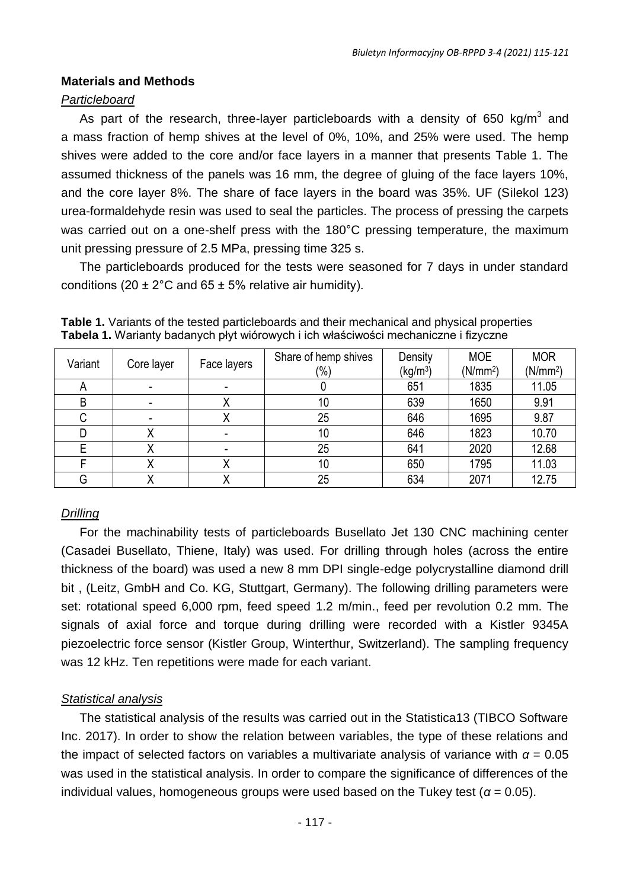# **Materials and Methods**

## *Particleboard*

As part of the research, three-layer particleboards with a density of 650 kg/m<sup>3</sup> and a mass fraction of hemp shives at the level of 0%, 10%, and 25% were used. The hemp shives were added to the core and/or face layers in a manner that presents Table 1. The assumed thickness of the panels was 16 mm, the degree of gluing of the face layers 10%, and the core layer 8%. The share of face layers in the board was 35%. UF (Silekol 123) urea-formaldehyde resin was used to seal the particles. The process of pressing the carpets was carried out on a one-shelf press with the 180°C pressing temperature, the maximum unit pressing pressure of 2.5 MPa, pressing time 325 s.

The particleboards produced for the tests were seasoned for 7 days in under standard conditions (20  $\pm$  2°C and 65  $\pm$  5% relative air humidity).

| Variant      | Core layer | Face layers | Share of hemp shives<br>(%) | Density<br>(kg/m <sup>3</sup> ) | <b>MOE</b><br>(N/mm <sup>2</sup> ) | <b>MOR</b><br>(N/mm <sup>2</sup> ) |
|--------------|------------|-------------|-----------------------------|---------------------------------|------------------------------------|------------------------------------|
| $\mathsf{A}$ |            |             |                             | 651                             | 1835                               | 11.05                              |
| B            |            |             | 10                          | 639                             | 1650                               | 9.91                               |
| ◡            |            | ⋏           | 25                          | 646                             | 1695                               | 9.87                               |
|              |            |             | 10                          | 646                             | 1823                               | 10.70                              |
|              |            |             | 25                          | 641                             | 2020                               | 12.68                              |
|              |            | ́           | 10                          | 650                             | 1795                               | 11.03                              |
| G            |            |             | 25                          | 634                             | 2071                               | 12.75                              |

**Table 1.** Variants of the tested particleboards and their mechanical and physical properties **Tabela 1.** Warianty badanych płyt wiórowych i ich właściwości mechaniczne i fizyczne

# *Drilling*

For the machinability tests of particleboards Busellato Jet 130 CNC machining center (Casadei Busellato, Thiene, Italy) was used. For drilling through holes (across the entire thickness of the board) was used a new 8 mm DPI single-edge polycrystalline diamond drill bit , (Leitz, GmbH and Co. KG, Stuttgart, Germany). The following drilling parameters were set: rotational speed 6,000 rpm, feed speed 1.2 m/min., feed per revolution 0.2 mm. The signals of axial force and torque during drilling were recorded with a Kistler 9345A piezoelectric force sensor (Kistler Group, Winterthur, Switzerland). The sampling frequency was 12 kHz. Ten repetitions were made for each variant.

# *Statistical analysis*

The statistical analysis of the results was carried out in the Statistica13 (TIBCO Software Inc. 2017). In order to show the relation between variables, the type of these relations and the impact of selected factors on variables a multivariate analysis of variance with  $\alpha = 0.05$ was used in the statistical analysis. In order to compare the significance of differences of the individual values, homogeneous groups were used based on the Tukey test ( $\alpha$  = 0.05).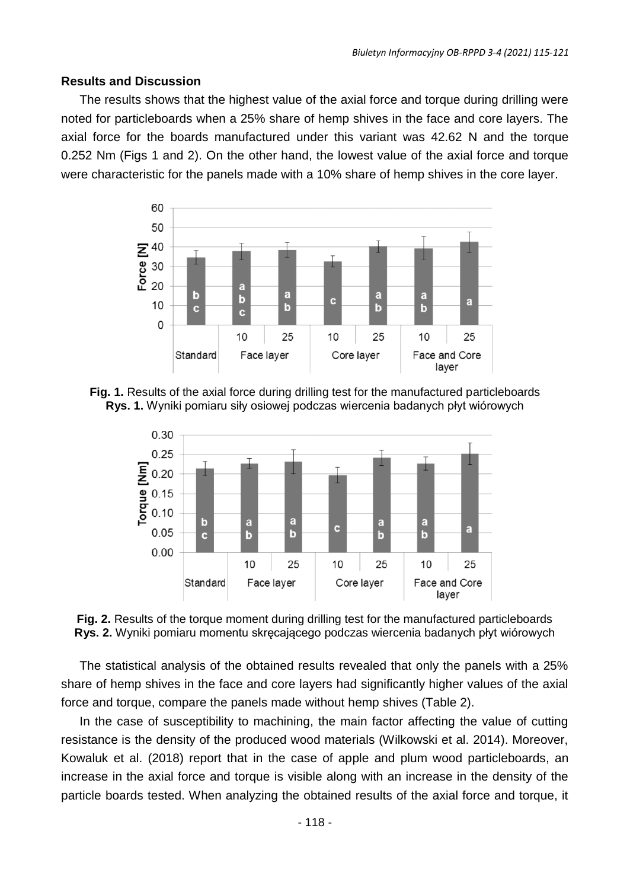#### **Results and Discussion**

The results shows that the highest value of the axial force and torque during drilling were noted for particleboards when a 25% share of hemp shives in the face and core layers. The axial force for the boards manufactured under this variant was 42.62 N and the torque 0.252 Nm (Figs 1 and 2). On the other hand, the lowest value of the axial force and torque were characteristic for the panels made with a 10% share of hemp shives in the core layer.



**Fig. 1.** Results of the axial force during drilling test for the manufactured particleboards **Rys. 1.** Wyniki pomiaru siły osiowej podczas wiercenia badanych płyt wiórowych



**Fig. 2.** Results of the torque moment during drilling test for the manufactured particleboards **Rys. 2.** Wyniki pomiaru momentu skręcającego podczas wiercenia badanych płyt wiórowych

The statistical analysis of the obtained results revealed that only the panels with a 25% share of hemp shives in the face and core layers had significantly higher values of the axial force and torque, compare the panels made without hemp shives (Table 2).

In the case of susceptibility to machining, the main factor affecting the value of cutting resistance is the density of the produced wood materials (Wilkowski et al. 2014). Moreover, Kowaluk et al. (2018) report that in the case of apple and plum wood particleboards, an increase in the axial force and torque is visible along with an increase in the density of the particle boards tested. When analyzing the obtained results of the axial force and torque, it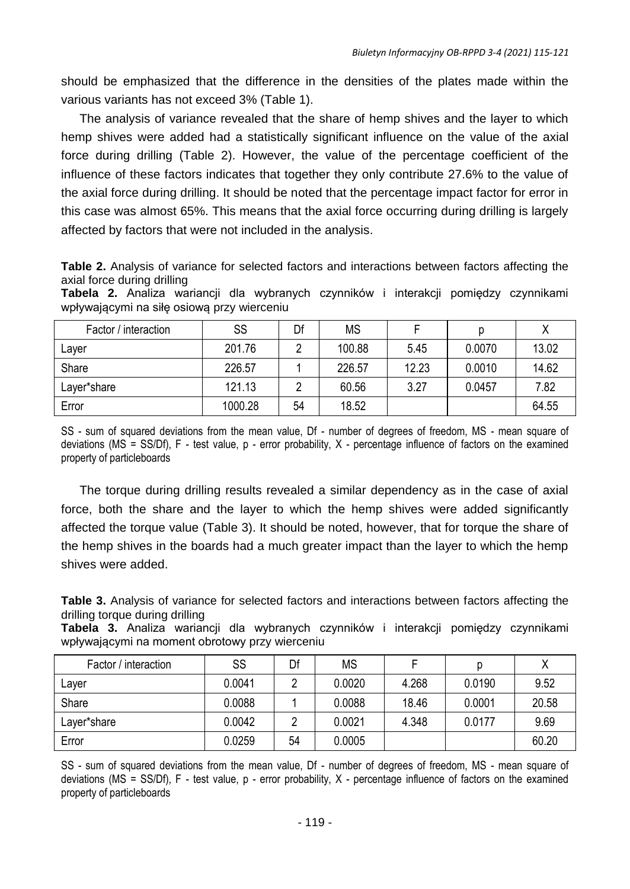should be emphasized that the difference in the densities of the plates made within the various variants has not exceed 3% (Table 1).

The analysis of variance revealed that the share of hemp shives and the layer to which hemp shives were added had a statistically significant influence on the value of the axial force during drilling (Table 2). However, the value of the percentage coefficient of the influence of these factors indicates that together they only contribute 27.6% to the value of the axial force during drilling. It should be noted that the percentage impact factor for error in this case was almost 65%. This means that the axial force occurring during drilling is largely affected by factors that were not included in the analysis.

**Table 2.** Analysis of variance for selected factors and interactions between factors affecting the axial force during drilling

**Tabela 2.** Analiza wariancji dla wybranych czynników i interakcji pomiędzy czynnikami wpływającymi na siłę osiową przy wierceniu

| Factor / interaction | SS      | Df | <b>MS</b> |       |        |       |
|----------------------|---------|----|-----------|-------|--------|-------|
| Laver                | 201.76  |    | 100.88    | 5.45  | 0.0070 | 13.02 |
| Share                | 226.57  |    | 226.57    | 12.23 | 0.0010 | 14.62 |
| Laver*share          | 121.13  |    | 60.56     | 3.27  | 0.0457 | 7.82  |
| Error                | 1000.28 | 54 | 18.52     |       |        | 64.55 |

SS - sum of squared deviations from the mean value, Df - number of degrees of freedom, MS - mean square of deviations (MS = SS/Df), F - test value, p - error probability, X - percentage influence of factors on the examined property of particleboards

The torque during drilling results revealed a similar dependency as in the case of axial force, both the share and the layer to which the hemp shives were added significantly affected the torque value (Table 3). It should be noted, however, that for torque the share of the hemp shives in the boards had a much greater impact than the layer to which the hemp shives were added.

**Table 3.** Analysis of variance for selected factors and interactions between factors affecting the drilling torque during drilling

**Tabela 3.** Analiza wariancji dla wybranych czynników i interakcji pomiędzy czynnikami wpływającymi na moment obrotowy przy wierceniu

| Factor / interaction | SS     | Df | <b>MS</b> |       |        |       |
|----------------------|--------|----|-----------|-------|--------|-------|
| Laver                | 0.0041 | ົ  | 0.0020    | 4.268 | 0.0190 | 9.52  |
| Share                | 0.0088 |    | 0.0088    | 18.46 | 0.0001 | 20.58 |
| Layer*share          | 0.0042 |    | 0.0021    | 4.348 | 0.0177 | 9.69  |
| Error                | 0.0259 | 54 | 0.0005    |       |        | 60.20 |

SS - sum of squared deviations from the mean value, Df - number of degrees of freedom, MS - mean square of deviations (MS = SS/Df), F - test value, p - error probability, X - percentage influence of factors on the examined property of particleboards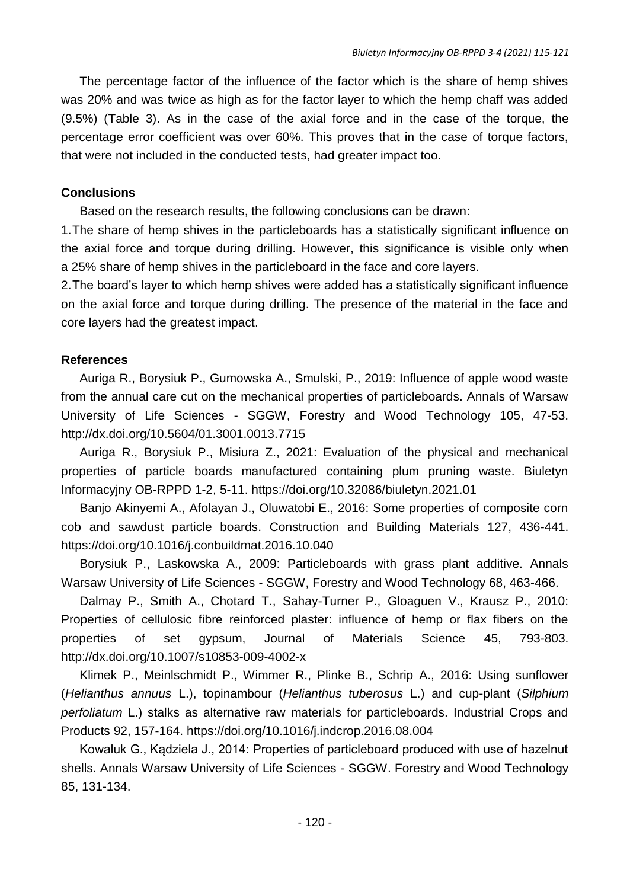The percentage factor of the influence of the factor which is the share of hemp shives was 20% and was twice as high as for the factor layer to which the hemp chaff was added (9.5%) (Table 3). As in the case of the axial force and in the case of the torque, the percentage error coefficient was over 60%. This proves that in the case of torque factors, that were not included in the conducted tests, had greater impact too.

#### **Conclusions**

Based on the research results, the following conclusions can be drawn:

1.The share of hemp shives in the particleboards has a statistically significant influence on the axial force and torque during drilling. However, this significance is visible only when a 25% share of hemp shives in the particleboard in the face and core layers.

2.The board's layer to which hemp shives were added has a statistically significant influence on the axial force and torque during drilling. The presence of the material in the face and core layers had the greatest impact.

## **References**

Auriga R., Borysiuk P., Gumowska A., Smulski, P., 2019: Influence of apple wood waste from the annual care cut on the mechanical properties of particleboards. Annals of Warsaw University of Life Sciences - SGGW, Forestry and Wood Technology 105, 47-53. http://dx.doi.org/10.5604/01.3001.0013.7715

Auriga R., Borysiuk P., Misiura Z., 2021: Evaluation of the physical and mechanical properties of particle boards manufactured containing plum pruning waste. Biuletyn Informacyjny OB-RPPD 1-2, 5-11. https://doi.org/10.32086/biuletyn.2021.01

Banjo Akinyemi A., Afolayan J., Oluwatobi E., 2016: Some properties of composite corn cob and sawdust particle boards. Construction and Building Materials 127, 436-441. https://doi.org/10.1016/j.conbuildmat.2016.10.040

Borysiuk P., Laskowska A., 2009: Particleboards with grass plant additive. Annals Warsaw University of Life Sciences - SGGW, Forestry and Wood Technology 68, 463-466.

Dalmay P., Smith A., Chotard T., Sahay-Turner P., Gloaguen V., Krausz P., 2010: Properties of cellulosic fibre reinforced plaster: influence of hemp or flax fibers on the properties of set gypsum, Journal of Materials Science 45, 793-803. http://dx.doi.org/10.1007/s10853-009-4002-x

Klimek P., Meinlschmidt P., Wimmer R., Plinke B., Schrip A., 2016: Using sunflower (*Helianthus annuus* L.), topinambour (*Helianthus tuberosus* L.) and cup-plant (*Silphium perfoliatum* L.) stalks as alternative raw materials for particleboards. Industrial Crops and Products 92, 157-164. https://doi.org/10.1016/j.indcrop.2016.08.004

Kowaluk G., Kądziela J., 2014: Properties of particleboard produced with use of hazelnut shells. Annals Warsaw University of Life Sciences - SGGW. Forestry and Wood Technology 85, 131-134.